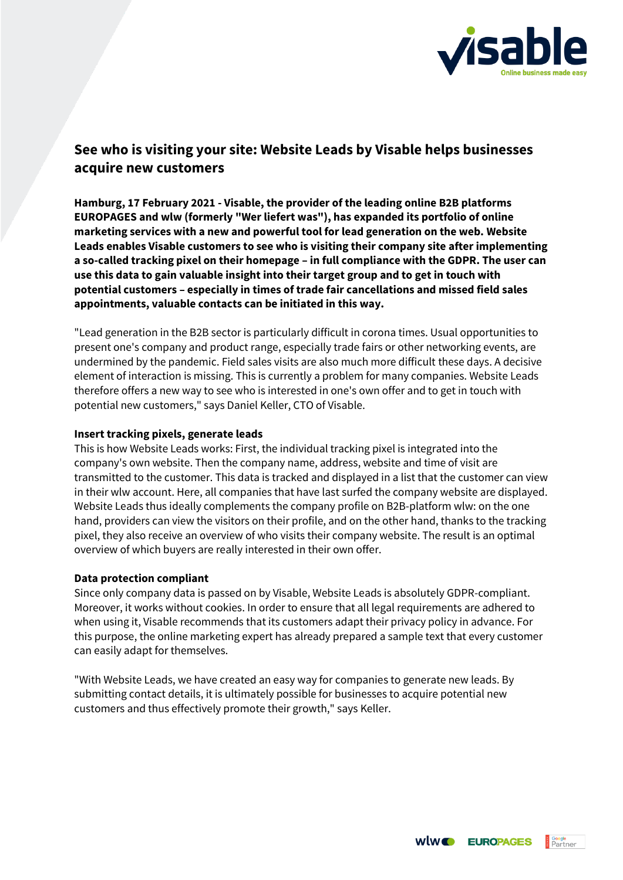

## **See who is visiting your site: Website Leads by Visable helps businesses acquire new customers**

**Hamburg, 17 February 2021 - Visable, the provider of the leading online B2B platforms EUROPAGES and wlw (formerly "Wer liefert was"), has expanded its portfolio of online marketing services with a new and powerful tool for lead generation on the web. Website Leads enables Visable customers to see who is visiting their company site after implementing a so-called tracking pixel on their homepage – in full compliance with the GDPR. The user can use this data to gain valuable insight into their target group and to get in touch with potential customers – especially in times of trade fair cancellations and missed field sales appointments, valuable contacts can be initiated in this way.**

"Lead generation in the B2B sector is particularly difficult in corona times. Usual opportunities to present one's company and product range, especially trade fairs or other networking events, are undermined by the pandemic. Field sales visits are also much more difficult these days. A decisive element of interaction is missing. This is currently a problem for many companies. Website Leads therefore offers a new way to see who is interested in one's own offer and to get in touch with potential new customers," says Daniel Keller, CTO of Visable.

## **Insert tracking pixels, generate leads**

This is how Website Leads works: First, the individual tracking pixel is integrated into the company's own website. Then the company name, address, website and time of visit are transmitted to the customer. This data is tracked and displayed in a list that the customer can view in their wlw account. Here, all companies that have last surfed the company website are displayed. Website Leads thus ideally complements the company profile on B2B-platform wlw: on the one hand, providers can view the visitors on their profile, and on the other hand, thanks to the tracking pixel, they also receive an overview of who visits their company website. The result is an optimal overview of which buyers are really interested in their own offer.

## **Data protection compliant**

Since only company data is passed on by Visable, Website Leads is absolutely GDPR-compliant. Moreover, it works without cookies. In order to ensure that all legal requirements are adhered to when using it, Visable recommends that its customers adapt their privacy policy in advance. For this purpose, the online marketing expert has already prepared a sample text that every customer can easily adapt for themselves.

"With Website Leads, we have created an easy way for companies to generate new leads. By submitting contact details, it is ultimately possible for businesses to acquire potential new customers and thus effectively promote their growth," says Keller.